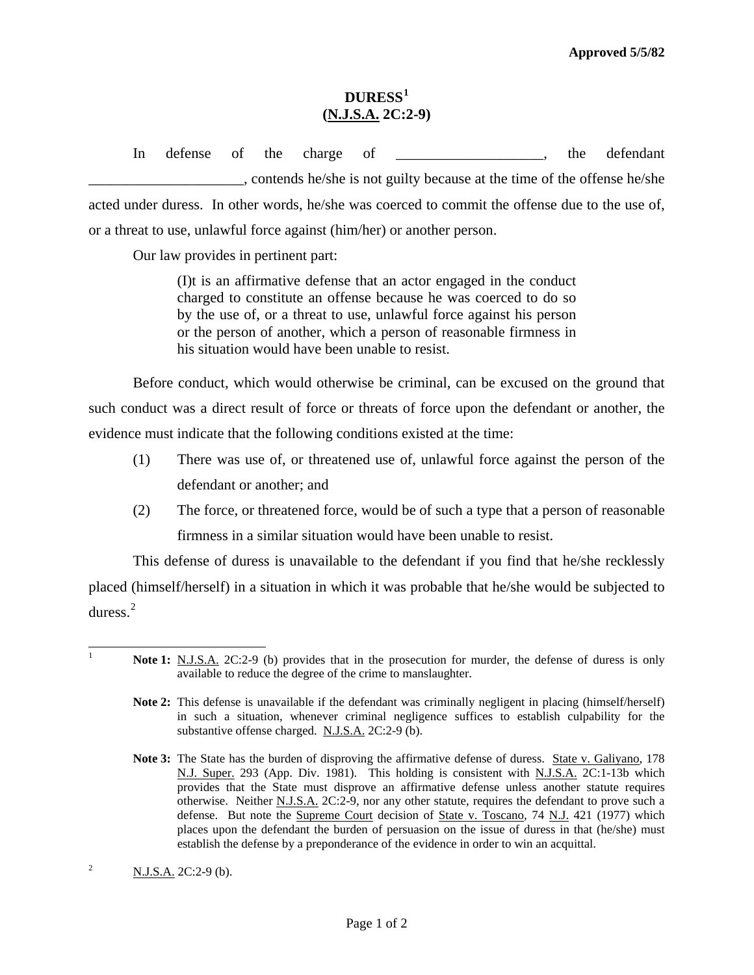## **DURESS[1](#page-0-0) (N.J.S.A. 2C:2-9)**

In defense of the charge of \_\_\_\_\_\_\_\_\_\_\_\_\_\_\_\_\_, the defendant \_\_\_\_\_\_\_\_\_\_\_\_\_\_\_\_\_\_\_\_\_, contends he/she is not guilty because at the time of the offense he/she acted under duress. In other words, he/she was coerced to commit the offense due to the use of, or a threat to use, unlawful force against (him/her) or another person.

Our law provides in pertinent part:

 (I)t is an affirmative defense that an actor engaged in the conduct charged to constitute an offense because he was coerced to do so by the use of, or a threat to use, unlawful force against his person or the person of another, which a person of reasonable firmness in his situation would have been unable to resist.

 Before conduct, which would otherwise be criminal, can be excused on the ground that such conduct was a direct result of force or threats of force upon the defendant or another, the evidence must indicate that the following conditions existed at the time:

- (1) There was use of, or threatened use of, unlawful force against the person of the defendant or another; and
- (2) The force, or threatened force, would be of such a type that a person of reasonable firmness in a similar situation would have been unable to resist.

 This defense of duress is unavailable to the defendant if you find that he/she recklessly placed (himself/herself) in a situation in which it was probable that he/she would be subjected to duress.[2](#page-0-1)

- **Note 2:** This defense is unavailable if the defendant was criminally negligent in placing (himself/herself) in such a situation, whenever criminal negligence suffices to establish culpability for the substantive offense charged. N.J.S.A. 2C:2-9 (b).
- Note 3: The State has the burden of disproving the affirmative defense of duress. State v. Galiyano, 178 N.J. Super. 293 (App. Div. 1981). This holding is consistent with N.J.S.A. 2C:1-13b which provides that the State must disprove an affirmative defense unless another statute requires otherwise. Neither N.J.S.A. 2C:2-9, nor any other statute, requires the defendant to prove such a defense. But note the Supreme Court decision of State v. Toscano, 74 N.J. 421 (1977) which places upon the defendant the burden of persuasion on the issue of duress in that (he/she) must establish the defense by a preponderance of the evidence in order to win an acquittal.

<span id="page-0-0"></span> $\overline{\phantom{a}}$ 1

**Note 1:** N.J.S.A. 2C:2-9 (b) provides that in the prosecution for murder, the defense of duress is only available to reduce the degree of the crime to manslaughter.

<span id="page-0-2"></span><span id="page-0-1"></span><sup>&</sup>lt;sup>2</sup> N.J.S.A. 2C:2-9 (b).